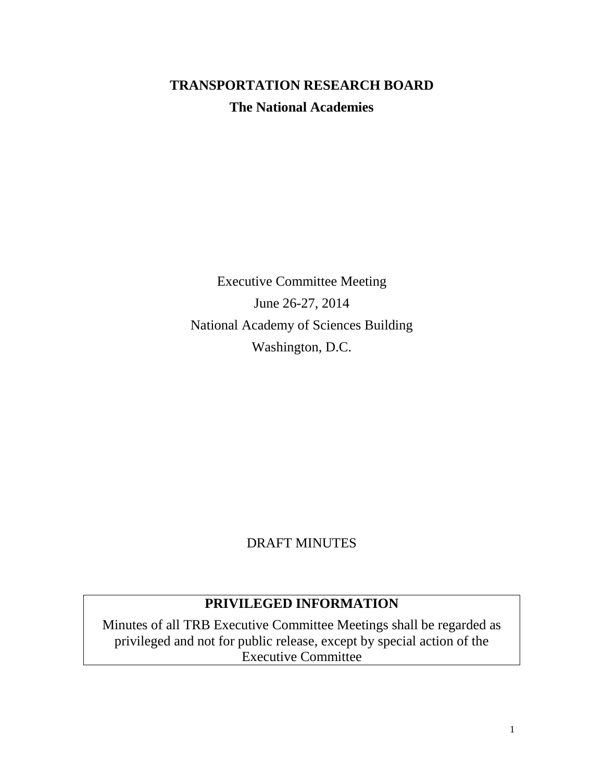# **TRANSPORTATION RESEARCH BOARD The National Academies**

Executive Committee Meeting June 26-27, 2014 National Academy of Sciences Building Washington, D.C.

## DRAFT MINUTES

## **PRIVILEGED INFORMATION**

Minutes of all TRB Executive Committee Meetings shall be regarded as privileged and not for public release, except by special action of the Executive Committee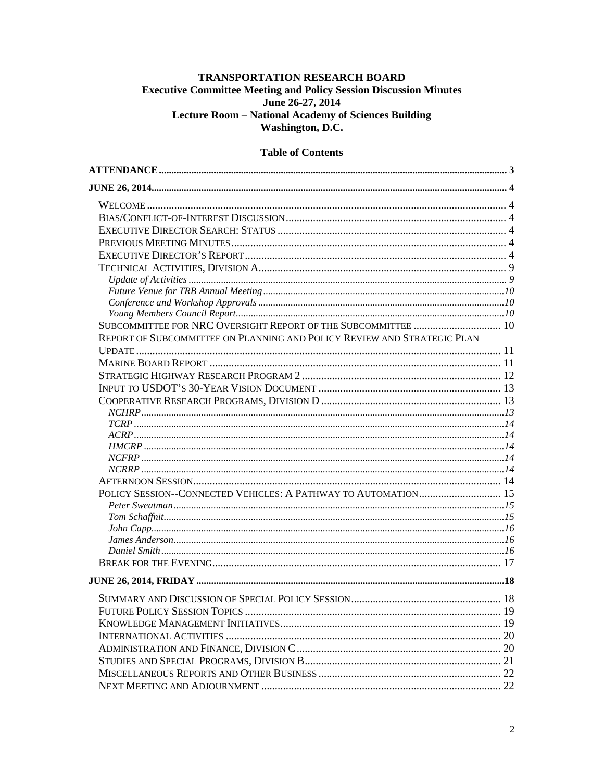#### TRANSPORTATION RESEARCH BOARD **Executive Committee Meeting and Policy Session Discussion Minutes** June 26-27, 2014 Lecture Room - National Academy of Sciences Building Washington, D.C.

#### **Table of Contents**

| SUBCOMMITTEE FOR NRC OVERSIGHT REPORT OF THE SUBCOMMITTEE  10           |  |
|-------------------------------------------------------------------------|--|
| REPORT OF SUBCOMMITTEE ON PLANNING AND POLICY REVIEW AND STRATEGIC PLAN |  |
|                                                                         |  |
|                                                                         |  |
|                                                                         |  |
|                                                                         |  |
|                                                                         |  |
|                                                                         |  |
|                                                                         |  |
|                                                                         |  |
|                                                                         |  |
|                                                                         |  |
|                                                                         |  |
|                                                                         |  |
| POLICY SESSION--CONNECTED VEHICLES: A PATHWAY TO AUTOMATION 15          |  |
|                                                                         |  |
|                                                                         |  |
|                                                                         |  |
|                                                                         |  |
|                                                                         |  |
|                                                                         |  |
|                                                                         |  |
|                                                                         |  |
|                                                                         |  |
|                                                                         |  |
|                                                                         |  |
|                                                                         |  |
|                                                                         |  |
|                                                                         |  |
|                                                                         |  |
|                                                                         |  |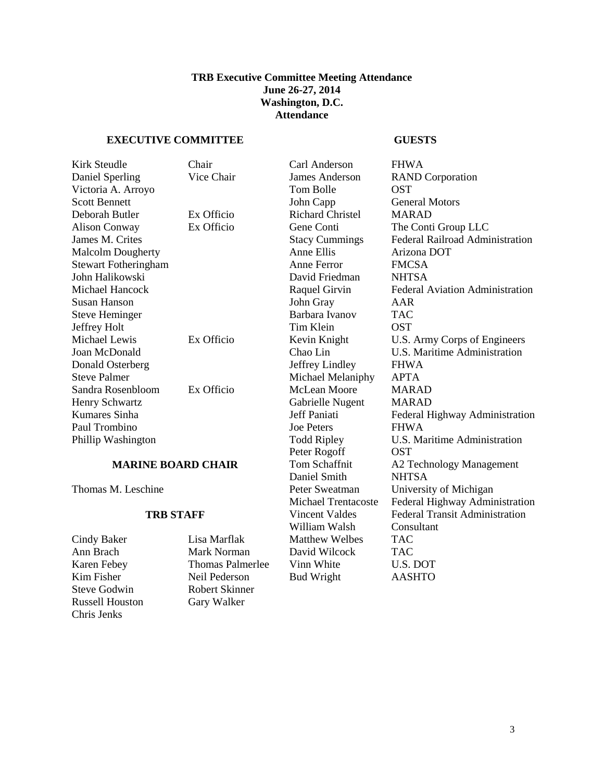#### **TRB Executive Committee Meeting Attendance June 26-27, 2014 Washington, D.C. Attendance**

#### <span id="page-2-0"></span>**EXECUTIVE COMMITTEE GUESTS**

| Kirk Steudle                | Chair      | Carl Anderson           | <b>FHWA</b>                            |
|-----------------------------|------------|-------------------------|----------------------------------------|
| Daniel Sperling             | Vice Chair | <b>James Anderson</b>   | <b>RAND</b> Corporation                |
| Victoria A. Arroyo          |            | Tom Bolle               | <b>OST</b>                             |
| <b>Scott Bennett</b>        |            | John Capp               | <b>General Motors</b>                  |
| Deborah Butler              | Ex Officio | <b>Richard Christel</b> | <b>MARAD</b>                           |
| <b>Alison Conway</b>        | Ex Officio | Gene Conti              | The Conti Group LLC                    |
| James M. Crites             |            | <b>Stacy Cummings</b>   | Federal Railroad Administration        |
| <b>Malcolm Dougherty</b>    |            | Anne Ellis              | Arizona DOT                            |
| <b>Stewart Fotheringham</b> |            | Anne Ferror             | <b>FMCSA</b>                           |
| John Halikowski             |            | David Friedman          | <b>NHTSA</b>                           |
| Michael Hancock             |            | Raquel Girvin           | <b>Federal Aviation Administration</b> |
| Susan Hanson                |            | John Gray               | AAR                                    |
| <b>Steve Heminger</b>       |            | Barbara Ivanov          | <b>TAC</b>                             |
| Jeffrey Holt                |            | Tim Klein               | <b>OST</b>                             |
| Michael Lewis               | Ex Officio | Kevin Knight            | U.S. Army Corps of Engineers           |
| Joan McDonald               |            | Chao Lin                | U.S. Maritime Administration           |
| Donald Osterberg            |            | Jeffrey Lindley         | <b>FHWA</b>                            |
| <b>Steve Palmer</b>         |            | Michael Melaniphy       | <b>APTA</b>                            |
| Sandra Rosenbloom           | Ex Officio | <b>McLean Moore</b>     | <b>MARAD</b>                           |
| Henry Schwartz              |            | Gabrielle Nugent        | <b>MARAD</b>                           |
| Kumares Sinha               |            | Jeff Paniati            | Federal Highway Administration         |
| Paul Trombino               |            | <b>Joe Peters</b>       | <b>FHWA</b>                            |
| Phillip Washington          |            | <b>Todd Ripley</b>      | U.S. Maritime Administration           |
|                             |            | Peter Rogoff            | <b>OST</b>                             |
|                             |            |                         |                                        |

Steve Godwin Robert Skinner Russell Houston Gary Walker Chris Jenks

Cindy Baker Lisa Marflak Matthew Welbes<br>
Ann Brach Mark Norman David Wilcock

Daniel Smith NHTSA<br>Peter Sweatman University William Walsh Consultant Consultant Consultant Consultant Consultant Consultant Consultant Consultant Consultant Consultant Consultant Consultant Consultant Consultant Consultant Consultant Consultant Consultant Consultant David Wilcock TAC Karen Febey Thomas Palmerlee Vinn White U.S. DOT Kim Fisher Neil Pederson Bud Wright AASHTO

**MARINE BOARD CHAIR** Tom Schaffnit A2 Technology Management Thomas M. Leschine Peter Sweatman University of Michigan Michael Trentacoste Federal Highway Administration **TRB STAFF** Vincent Valdes Federal Transit Administration<br>William Walsh Consultant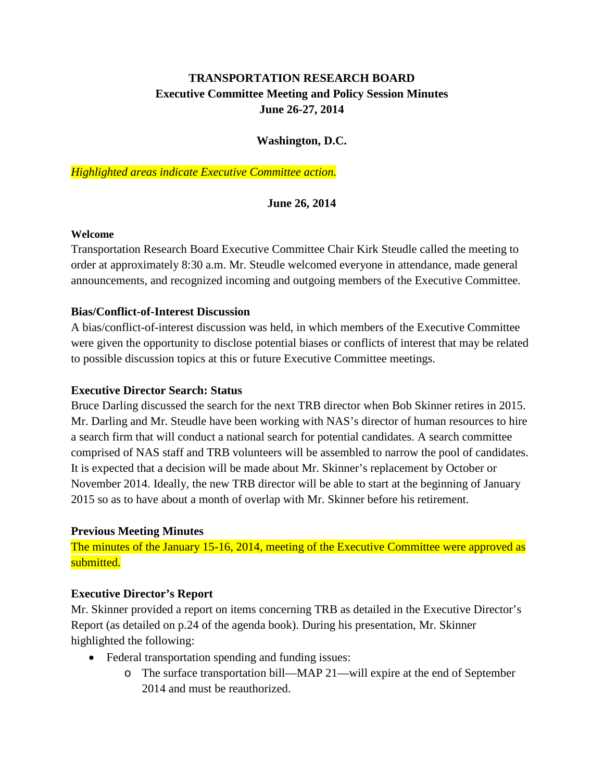## **TRANSPORTATION RESEARCH BOARD Executive Committee Meeting and Policy Session Minutes June 26-27, 2014**

#### **Washington, D.C.**

<span id="page-3-0"></span>*Highlighted areas indicate Executive Committee action.*

#### **June 26, 2014**

#### <span id="page-3-1"></span>**Welcome**

Transportation Research Board Executive Committee Chair Kirk Steudle called the meeting to order at approximately 8:30 a.m. Mr. Steudle welcomed everyone in attendance, made general announcements, and recognized incoming and outgoing members of the Executive Committee.

#### <span id="page-3-2"></span>**Bias/Conflict-of-Interest Discussion**

A bias/conflict-of-interest discussion was held, in which members of the Executive Committee were given the opportunity to disclose potential biases or conflicts of interest that may be related to possible discussion topics at this or future Executive Committee meetings.

#### <span id="page-3-3"></span>**Executive Director Search: Status**

Bruce Darling discussed the search for the next TRB director when Bob Skinner retires in 2015. Mr. Darling and Mr. Steudle have been working with NAS's director of human resources to hire a search firm that will conduct a national search for potential candidates. A search committee comprised of NAS staff and TRB volunteers will be assembled to narrow the pool of candidates. It is expected that a decision will be made about Mr. Skinner's replacement by October or November 2014. Ideally, the new TRB director will be able to start at the beginning of January 2015 so as to have about a month of overlap with Mr. Skinner before his retirement.

#### <span id="page-3-4"></span>**Previous Meeting Minutes**

The minutes of the January 15-16, 2014, meeting of the Executive Committee were approved as submitted.

#### <span id="page-3-5"></span>**Executive Director's Report**

Mr. Skinner provided a report on items concerning TRB as detailed in the Executive Director's Report (as detailed on p.24 of the agenda book). During his presentation, Mr. Skinner highlighted the following:

- Federal transportation spending and funding issues:
	- o The surface transportation bill—MAP 21—will expire at the end of September 2014 and must be reauthorized.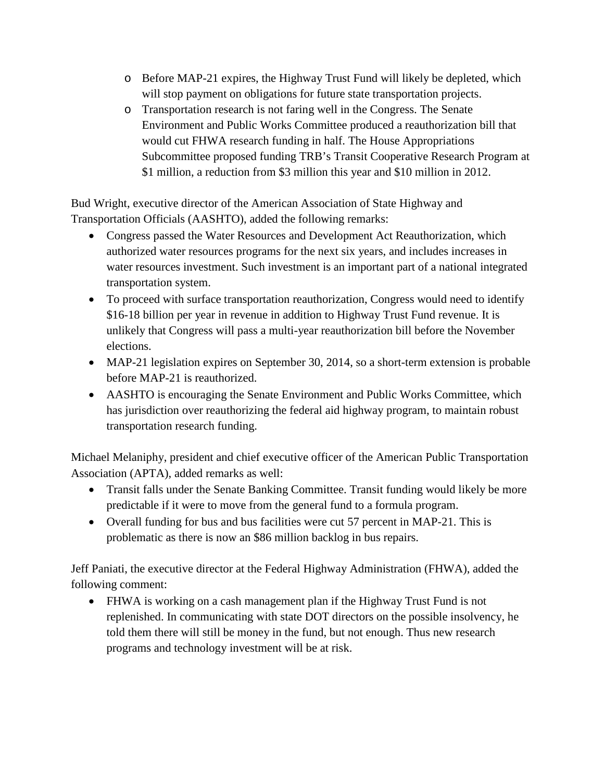- o Before MAP-21 expires, the Highway Trust Fund will likely be depleted, which will stop payment on obligations for future state transportation projects.
- o Transportation research is not faring well in the Congress. The Senate Environment and Public Works Committee produced a reauthorization bill that would cut FHWA research funding in half. The House Appropriations Subcommittee proposed funding TRB's Transit Cooperative Research Program at \$1 million, a reduction from \$3 million this year and \$10 million in 2012.

Bud Wright, executive director of the American Association of State Highway and Transportation Officials (AASHTO), added the following remarks:

- Congress passed the Water Resources and Development Act Reauthorization, which authorized water resources programs for the next six years, and includes increases in water resources investment. Such investment is an important part of a national integrated transportation system.
- To proceed with surface transportation reauthorization, Congress would need to identify \$16-18 billion per year in revenue in addition to Highway Trust Fund revenue. It is unlikely that Congress will pass a multi-year reauthorization bill before the November elections.
- MAP-21 legislation expires on September 30, 2014, so a short-term extension is probable before MAP-21 is reauthorized.
- AASHTO is encouraging the Senate Environment and Public Works Committee, which has jurisdiction over reauthorizing the federal aid highway program, to maintain robust transportation research funding.

Michael Melaniphy, president and chief executive officer of the American Public Transportation Association (APTA), added remarks as well:

- Transit falls under the Senate Banking Committee. Transit funding would likely be more predictable if it were to move from the general fund to a formula program.
- Overall funding for bus and bus facilities were cut 57 percent in MAP-21. This is problematic as there is now an \$86 million backlog in bus repairs.

Jeff Paniati, the executive director at the Federal Highway Administration (FHWA), added the following comment:

• FHWA is working on a cash management plan if the Highway Trust Fund is not replenished. In communicating with state DOT directors on the possible insolvency, he told them there will still be money in the fund, but not enough. Thus new research programs and technology investment will be at risk.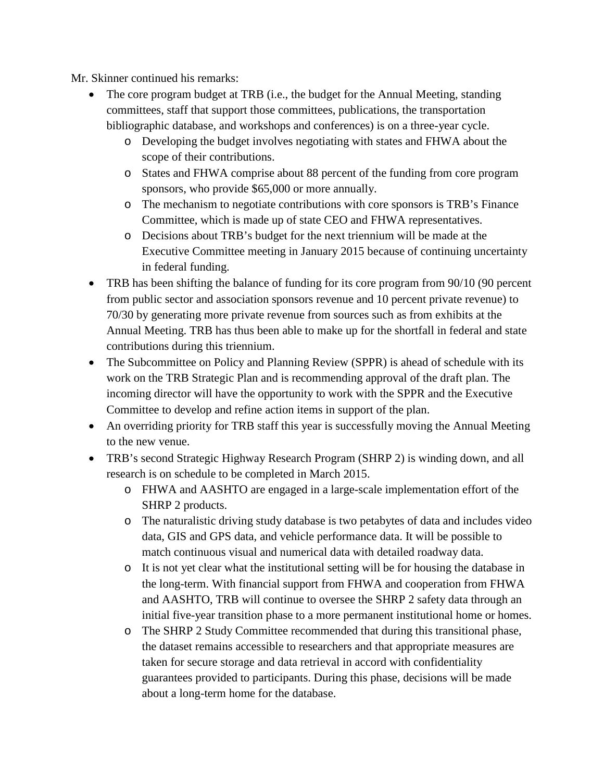Mr. Skinner continued his remarks:

- The core program budget at TRB (i.e., the budget for the Annual Meeting, standing committees, staff that support those committees, publications, the transportation bibliographic database, and workshops and conferences) is on a three-year cycle.
	- o Developing the budget involves negotiating with states and FHWA about the scope of their contributions.
	- o States and FHWA comprise about 88 percent of the funding from core program sponsors, who provide \$65,000 or more annually.
	- o The mechanism to negotiate contributions with core sponsors is TRB's Finance Committee, which is made up of state CEO and FHWA representatives.
	- o Decisions about TRB's budget for the next triennium will be made at the Executive Committee meeting in January 2015 because of continuing uncertainty in federal funding.
- TRB has been shifting the balance of funding for its core program from 90/10 (90 percent from public sector and association sponsors revenue and 10 percent private revenue) to 70/30 by generating more private revenue from sources such as from exhibits at the Annual Meeting. TRB has thus been able to make up for the shortfall in federal and state contributions during this triennium.
- The Subcommittee on Policy and Planning Review (SPPR) is ahead of schedule with its work on the TRB Strategic Plan and is recommending approval of the draft plan. The incoming director will have the opportunity to work with the SPPR and the Executive Committee to develop and refine action items in support of the plan.
- An overriding priority for TRB staff this year is successfully moving the Annual Meeting to the new venue.
- TRB's second Strategic Highway Research Program (SHRP 2) is winding down, and all research is on schedule to be completed in March 2015.
	- o FHWA and AASHTO are engaged in a large-scale implementation effort of the SHRP 2 products.
	- o The naturalistic driving study database is two petabytes of data and includes video data, GIS and GPS data, and vehicle performance data. It will be possible to match continuous visual and numerical data with detailed roadway data.
	- o It is not yet clear what the institutional setting will be for housing the database in the long-term. With financial support from FHWA and cooperation from FHWA and AASHTO, TRB will continue to oversee the SHRP 2 safety data through an initial five-year transition phase to a more permanent institutional home or homes.
	- o The SHRP 2 Study Committee recommended that during this transitional phase, the dataset remains accessible to researchers and that appropriate measures are taken for secure storage and data retrieval in accord with confidentiality guarantees provided to participants. During this phase, decisions will be made about a long-term home for the database.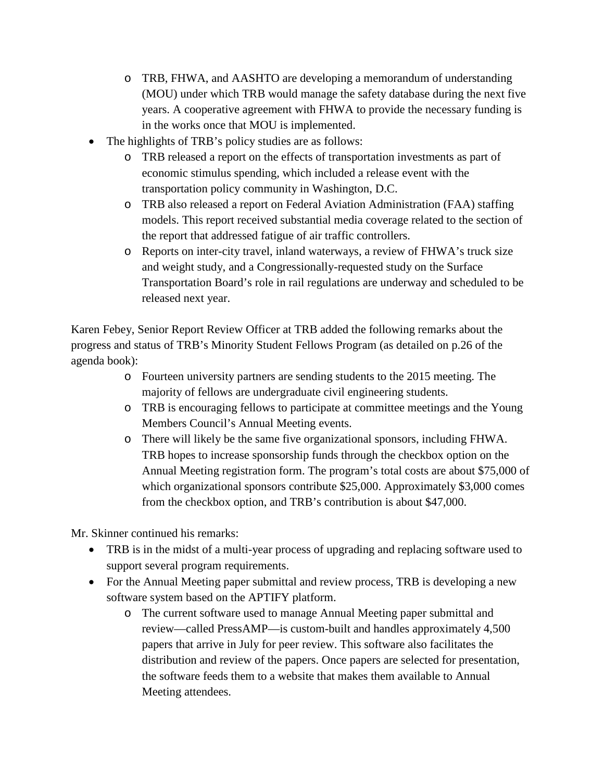- o TRB, FHWA, and AASHTO are developing a memorandum of understanding (MOU) under which TRB would manage the safety database during the next five years. A cooperative agreement with FHWA to provide the necessary funding is in the works once that MOU is implemented.
- The highlights of TRB's policy studies are as follows:
	- o TRB released a report on the effects of transportation investments as part of economic stimulus spending, which included a release event with the transportation policy community in Washington, D.C.
	- o TRB also released a report on Federal Aviation Administration (FAA) staffing models. This report received substantial media coverage related to the section of the report that addressed fatigue of air traffic controllers.
	- o Reports on inter-city travel, inland waterways, a review of FHWA's truck size and weight study, and a Congressionally-requested study on the Surface Transportation Board's role in rail regulations are underway and scheduled to be released next year.

Karen Febey, Senior Report Review Officer at TRB added the following remarks about the progress and status of TRB's Minority Student Fellows Program (as detailed on p.26 of the agenda book):

- o Fourteen university partners are sending students to the 2015 meeting. The majority of fellows are undergraduate civil engineering students.
- o TRB is encouraging fellows to participate at committee meetings and the Young Members Council's Annual Meeting events.
- o There will likely be the same five organizational sponsors, including FHWA. TRB hopes to increase sponsorship funds through the checkbox option on the Annual Meeting registration form. The program's total costs are about \$75,000 of which organizational sponsors contribute \$25,000. Approximately \$3,000 comes from the checkbox option, and TRB's contribution is about \$47,000.

Mr. Skinner continued his remarks:

- TRB is in the midst of a multi-year process of upgrading and replacing software used to support several program requirements.
- For the Annual Meeting paper submittal and review process, TRB is developing a new software system based on the APTIFY platform.
	- o The current software used to manage Annual Meeting paper submittal and review—called PressAMP—is custom-built and handles approximately 4,500 papers that arrive in July for peer review. This software also facilitates the distribution and review of the papers. Once papers are selected for presentation, the software feeds them to a website that makes them available to Annual Meeting attendees.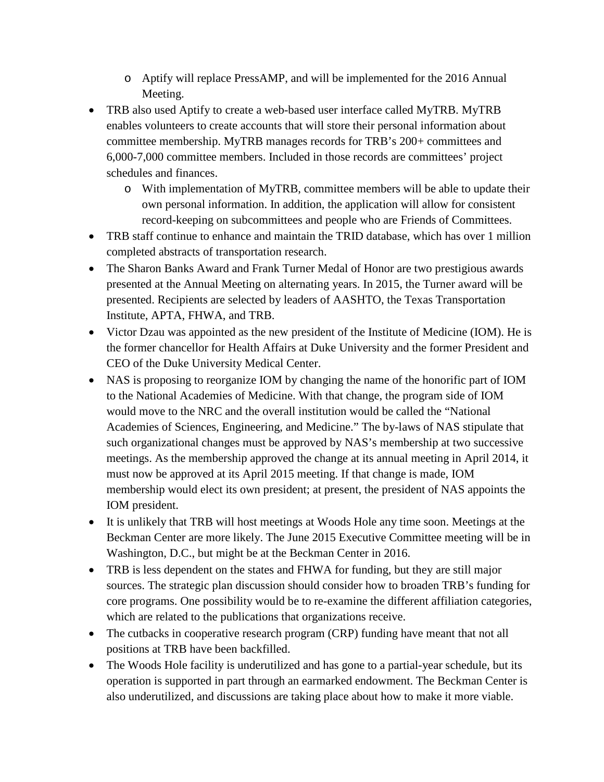- o Aptify will replace PressAMP, and will be implemented for the 2016 Annual Meeting.
- TRB also used Aptify to create a web-based user interface called MyTRB. MyTRB enables volunteers to create accounts that will store their personal information about committee membership. MyTRB manages records for TRB's 200+ committees and 6,000-7,000 committee members. Included in those records are committees' project schedules and finances.
	- o With implementation of MyTRB, committee members will be able to update their own personal information. In addition, the application will allow for consistent record-keeping on subcommittees and people who are Friends of Committees.
- TRB staff continue to enhance and maintain the TRID database, which has over 1 million completed abstracts of transportation research.
- The Sharon Banks Award and Frank Turner Medal of Honor are two prestigious awards presented at the Annual Meeting on alternating years. In 2015, the Turner award will be presented. Recipients are selected by leaders of AASHTO, the Texas Transportation Institute, APTA, FHWA, and TRB.
- Victor Dzau was appointed as the new president of the Institute of Medicine (IOM). He is the former chancellor for Health Affairs at Duke University and the former President and CEO of the Duke University Medical Center.
- NAS is proposing to reorganize IOM by changing the name of the honorific part of IOM to the National Academies of Medicine. With that change, the program side of IOM would move to the NRC and the overall institution would be called the "National Academies of Sciences, Engineering, and Medicine." The by-laws of NAS stipulate that such organizational changes must be approved by NAS's membership at two successive meetings. As the membership approved the change at its annual meeting in April 2014, it must now be approved at its April 2015 meeting. If that change is made, IOM membership would elect its own president; at present, the president of NAS appoints the IOM president.
- It is unlikely that TRB will host meetings at Woods Hole any time soon. Meetings at the Beckman Center are more likely. The June 2015 Executive Committee meeting will be in Washington, D.C., but might be at the Beckman Center in 2016.
- TRB is less dependent on the states and FHWA for funding, but they are still major sources. The strategic plan discussion should consider how to broaden TRB's funding for core programs. One possibility would be to re-examine the different affiliation categories, which are related to the publications that organizations receive.
- The cutbacks in cooperative research program (CRP) funding have meant that not all positions at TRB have been backfilled.
- The Woods Hole facility is underutilized and has gone to a partial-year schedule, but its operation is supported in part through an earmarked endowment. The Beckman Center is also underutilized, and discussions are taking place about how to make it more viable.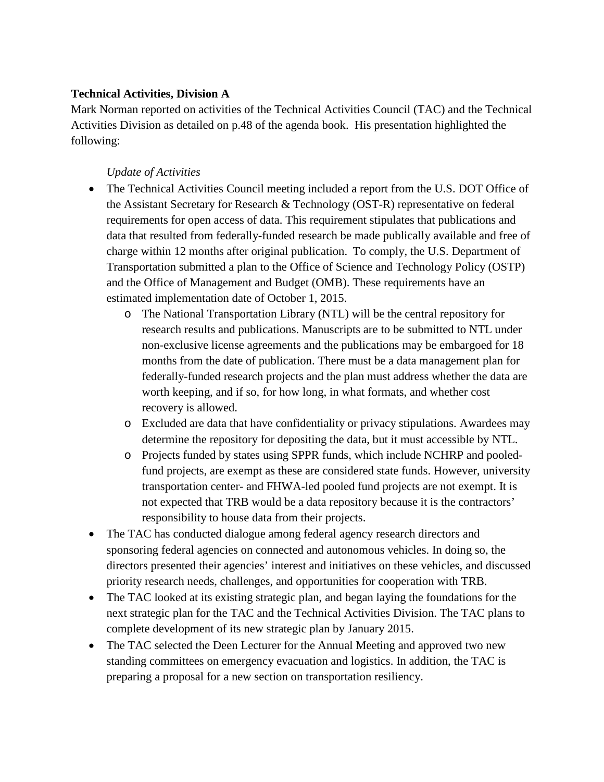#### <span id="page-8-0"></span>**Technical Activities, Division A**

Mark Norman reported on activities of the Technical Activities Council (TAC) and the Technical Activities Division as detailed on p.48 of the agenda book. His presentation highlighted the following:

## *Update of Activities*

- <span id="page-8-1"></span>• The Technical Activities Council meeting included a report from the U.S. DOT Office of the Assistant Secretary for Research & Technology (OST-R) representative on federal requirements for open access of data. This requirement stipulates that publications and data that resulted from federally-funded research be made publically available and free of charge within 12 months after original publication. To comply, the U.S. Department of Transportation submitted a plan to the Office of Science and Technology Policy (OSTP) and the Office of Management and Budget (OMB). These requirements have an estimated implementation date of October 1, 2015.
	- o The National Transportation Library (NTL) will be the central repository for research results and publications. Manuscripts are to be submitted to NTL under non-exclusive license agreements and the publications may be embargoed for 18 months from the date of publication. There must be a data management plan for federally-funded research projects and the plan must address whether the data are worth keeping, and if so, for how long, in what formats, and whether cost recovery is allowed.
	- o Excluded are data that have confidentiality or privacy stipulations. Awardees may determine the repository for depositing the data, but it must accessible by NTL.
	- o Projects funded by states using SPPR funds, which include NCHRP and pooledfund projects, are exempt as these are considered state funds. However, university transportation center- and FHWA-led pooled fund projects are not exempt. It is not expected that TRB would be a data repository because it is the contractors' responsibility to house data from their projects.
- The TAC has conducted dialogue among federal agency research directors and sponsoring federal agencies on connected and autonomous vehicles. In doing so, the directors presented their agencies' interest and initiatives on these vehicles, and discussed priority research needs, challenges, and opportunities for cooperation with TRB.
- The TAC looked at its existing strategic plan, and began laying the foundations for the next strategic plan for the TAC and the Technical Activities Division. The TAC plans to complete development of its new strategic plan by January 2015.
- The TAC selected the Deen Lecturer for the Annual Meeting and approved two new standing committees on emergency evacuation and logistics. In addition, the TAC is preparing a proposal for a new section on transportation resiliency.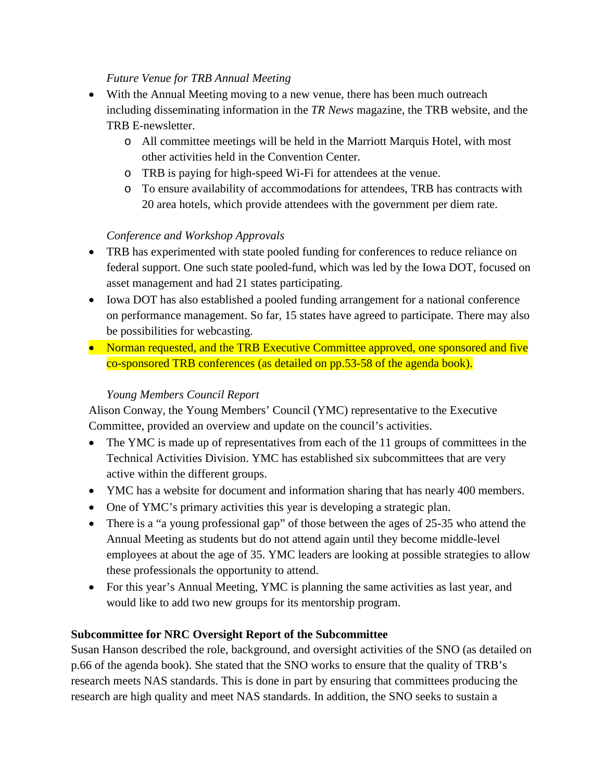#### *Future Venue for TRB Annual Meeting*

- <span id="page-9-0"></span>• With the Annual Meeting moving to a new venue, there has been much outreach including disseminating information in the *TR News* magazine, the TRB website, and the TRB E-newsletter.
	- o All committee meetings will be held in the Marriott Marquis Hotel, with most other activities held in the Convention Center.
	- o TRB is paying for high-speed Wi-Fi for attendees at the venue.
	- o To ensure availability of accommodations for attendees, TRB has contracts with 20 area hotels, which provide attendees with the government per diem rate.

## *Conference and Workshop Approvals*

- <span id="page-9-1"></span>• TRB has experimented with state pooled funding for conferences to reduce reliance on federal support. One such state pooled-fund, which was led by the Iowa DOT, focused on asset management and had 21 states participating.
- Iowa DOT has also established a pooled funding arrangement for a national conference on performance management. So far, 15 states have agreed to participate. There may also be possibilities for webcasting.
- Norman requested, and the TRB Executive Committee approved, one sponsored and five co-sponsored TRB conferences (as detailed on pp.53-58 of the agenda book).

## *Young Members Council Report*

<span id="page-9-2"></span>Alison Conway, the Young Members' Council (YMC) representative to the Executive Committee, provided an overview and update on the council's activities.

- The YMC is made up of representatives from each of the 11 groups of committees in the Technical Activities Division. YMC has established six subcommittees that are very active within the different groups.
- YMC has a website for document and information sharing that has nearly 400 members.
- One of YMC's primary activities this year is developing a strategic plan.
- There is a "a young professional gap" of those between the ages of 25-35 who attend the Annual Meeting as students but do not attend again until they become middle-level employees at about the age of 35. YMC leaders are looking at possible strategies to allow these professionals the opportunity to attend.
- For this year's Annual Meeting, YMC is planning the same activities as last year, and would like to add two new groups for its mentorship program.

## <span id="page-9-3"></span>**Subcommittee for NRC Oversight Report of the Subcommittee**

Susan Hanson described the role, background, and oversight activities of the SNO (as detailed on p.66 of the agenda book). She stated that the SNO works to ensure that the quality of TRB's research meets NAS standards. This is done in part by ensuring that committees producing the research are high quality and meet NAS standards. In addition, the SNO seeks to sustain a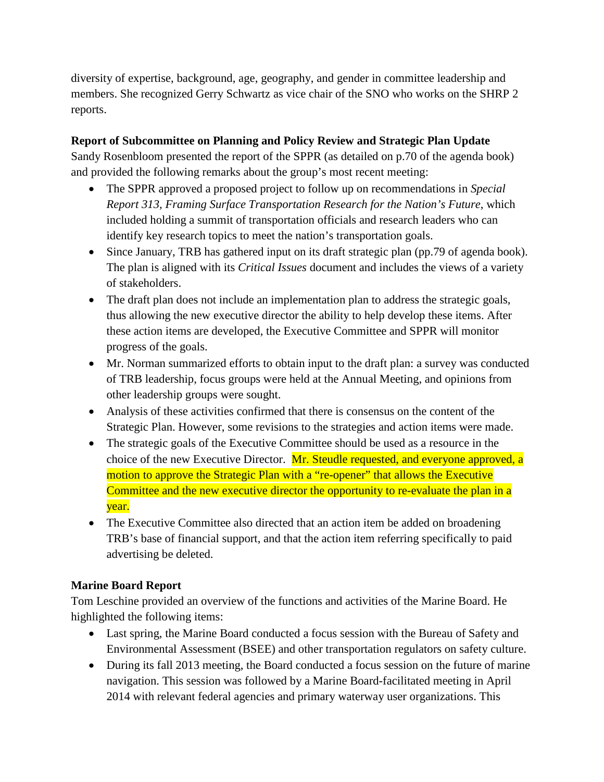diversity of expertise, background, age, geography, and gender in committee leadership and members. She recognized Gerry Schwartz as vice chair of the SNO who works on the SHRP 2 reports.

## <span id="page-10-0"></span>**Report of Subcommittee on Planning and Policy Review and Strategic Plan Update**

Sandy Rosenbloom presented the report of the SPPR (as detailed on p.70 of the agenda book) and provided the following remarks about the group's most recent meeting:

- The SPPR approved a proposed project to follow up on recommendations in *Special Report 313, Framing Surface Transportation Research for the Nation's Future*, which included holding a summit of transportation officials and research leaders who can identify key research topics to meet the nation's transportation goals.
- Since January, TRB has gathered input on its draft strategic plan (pp.79 of agenda book). The plan is aligned with its *Critical Issues* document and includes the views of a variety of stakeholders.
- The draft plan does not include an implementation plan to address the strategic goals, thus allowing the new executive director the ability to help develop these items. After these action items are developed, the Executive Committee and SPPR will monitor progress of the goals.
- Mr. Norman summarized efforts to obtain input to the draft plan: a survey was conducted of TRB leadership, focus groups were held at the Annual Meeting, and opinions from other leadership groups were sought.
- Analysis of these activities confirmed that there is consensus on the content of the Strategic Plan. However, some revisions to the strategies and action items were made.
- The strategic goals of the Executive Committee should be used as a resource in the choice of the new Executive Director. Mr. Steudle requested, and everyone approved, a motion to approve the Strategic Plan with a "re-opener" that allows the Executive Committee and the new executive director the opportunity to re-evaluate the plan in a year.
- The Executive Committee also directed that an action item be added on broadening TRB's base of financial support, and that the action item referring specifically to paid advertising be deleted.

## <span id="page-10-1"></span>**Marine Board Report**

Tom Leschine provided an overview of the functions and activities of the Marine Board. He highlighted the following items:

- Last spring, the Marine Board conducted a focus session with the Bureau of Safety and Environmental Assessment (BSEE) and other transportation regulators on safety culture.
- During its fall 2013 meeting, the Board conducted a focus session on the future of marine navigation. This session was followed by a Marine Board-facilitated meeting in April 2014 with relevant federal agencies and primary waterway user organizations. This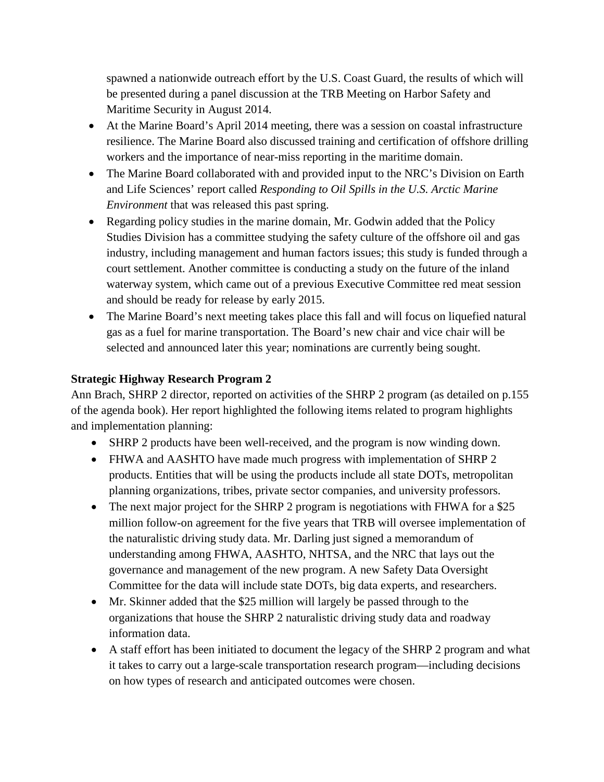spawned a nationwide outreach effort by the U.S. Coast Guard, the results of which will be presented during a panel discussion at the TRB Meeting on Harbor Safety and Maritime Security in August 2014.

- At the Marine Board's April 2014 meeting, there was a session on coastal infrastructure resilience. The Marine Board also discussed training and certification of offshore drilling workers and the importance of near-miss reporting in the maritime domain.
- The Marine Board collaborated with and provided input to the NRC's Division on Earth and Life Sciences' report called *Responding to Oil Spills in the U.S. Arctic Marine Environment* that was released this past spring.
- Regarding policy studies in the marine domain, Mr. Godwin added that the Policy Studies Division has a committee studying the safety culture of the offshore oil and gas industry, including management and human factors issues; this study is funded through a court settlement. Another committee is conducting a study on the future of the inland waterway system, which came out of a previous Executive Committee red meat session and should be ready for release by early 2015.
- The Marine Board's next meeting takes place this fall and will focus on liquefied natural gas as a fuel for marine transportation. The Board's new chair and vice chair will be selected and announced later this year; nominations are currently being sought.

#### <span id="page-11-0"></span>**Strategic Highway Research Program 2**

Ann Brach, SHRP 2 director, reported on activities of the SHRP 2 program (as detailed on p.155 of the agenda book). Her report highlighted the following items related to program highlights and implementation planning:

- SHRP 2 products have been well-received, and the program is now winding down.
- FHWA and AASHTO have made much progress with implementation of SHRP 2 products. Entities that will be using the products include all state DOTs, metropolitan planning organizations, tribes, private sector companies, and university professors.
- The next major project for the SHRP 2 program is negotiations with FHWA for a \$25 million follow-on agreement for the five years that TRB will oversee implementation of the naturalistic driving study data. Mr. Darling just signed a memorandum of understanding among FHWA, AASHTO, NHTSA, and the NRC that lays out the governance and management of the new program. A new Safety Data Oversight Committee for the data will include state DOTs, big data experts, and researchers.
- Mr. Skinner added that the \$25 million will largely be passed through to the organizations that house the SHRP 2 naturalistic driving study data and roadway information data.
- A staff effort has been initiated to document the legacy of the SHRP 2 program and what it takes to carry out a large-scale transportation research program—including decisions on how types of research and anticipated outcomes were chosen.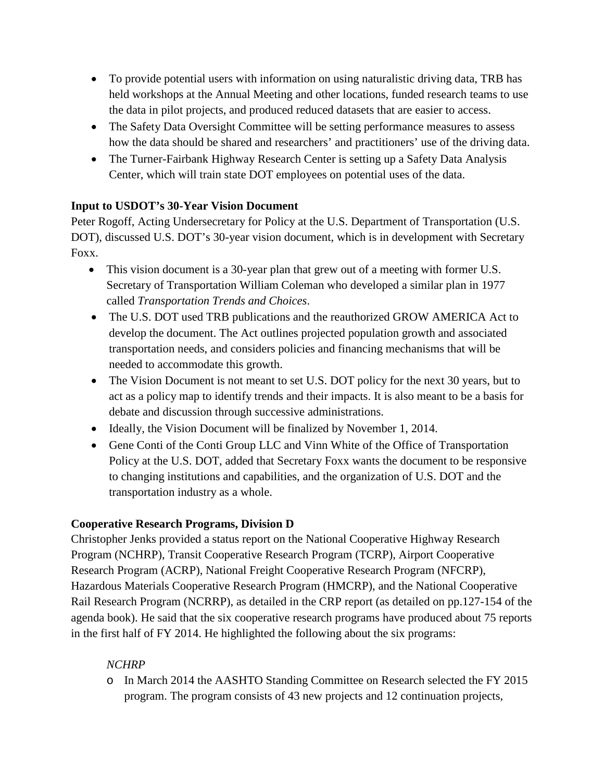- To provide potential users with information on using naturalistic driving data, TRB has held workshops at the Annual Meeting and other locations, funded research teams to use the data in pilot projects, and produced reduced datasets that are easier to access.
- The Safety Data Oversight Committee will be setting performance measures to assess how the data should be shared and researchers' and practitioners' use of the driving data.
- The Turner-Fairbank Highway Research Center is setting up a Safety Data Analysis Center, which will train state DOT employees on potential uses of the data.

## <span id="page-12-0"></span>**Input to USDOT's 30-Year Vision Document**

Peter Rogoff, Acting Undersecretary for Policy at the U.S. Department of Transportation (U.S. DOT), discussed U.S. DOT's 30-year vision document, which is in development with Secretary Foxx.

- This vision document is a 30-year plan that grew out of a meeting with former U.S. Secretary of Transportation William Coleman who developed a similar plan in 1977 called *Transportation Trends and Choices*.
- The U.S. DOT used TRB publications and the reauthorized GROW AMERICA Act to develop the document. The Act outlines projected population growth and associated transportation needs, and considers policies and financing mechanisms that will be needed to accommodate this growth.
- The Vision Document is not meant to set U.S. DOT policy for the next 30 years, but to act as a policy map to identify trends and their impacts. It is also meant to be a basis for debate and discussion through successive administrations.
- Ideally, the Vision Document will be finalized by November 1, 2014.
- Gene Conti of the Conti Group LLC and Vinn White of the Office of Transportation Policy at the U.S. DOT, added that Secretary Foxx wants the document to be responsive to changing institutions and capabilities, and the organization of U.S. DOT and the transportation industry as a whole.

## <span id="page-12-1"></span>**Cooperative Research Programs, Division D**

Christopher Jenks provided a status report on the National Cooperative Highway Research Program (NCHRP), Transit Cooperative Research Program (TCRP), Airport Cooperative Research Program (ACRP), National Freight Cooperative Research Program (NFCRP), Hazardous Materials Cooperative Research Program (HMCRP), and the National Cooperative Rail Research Program (NCRRP), as detailed in the CRP report (as detailed on pp.127-154 of the agenda book). He said that the six cooperative research programs have produced about 75 reports in the first half of FY 2014. He highlighted the following about the six programs:

## <span id="page-12-2"></span>*NCHRP*

o In March 2014 the AASHTO Standing Committee on Research selected the FY 2015 program. The program consists of 43 new projects and 12 continuation projects,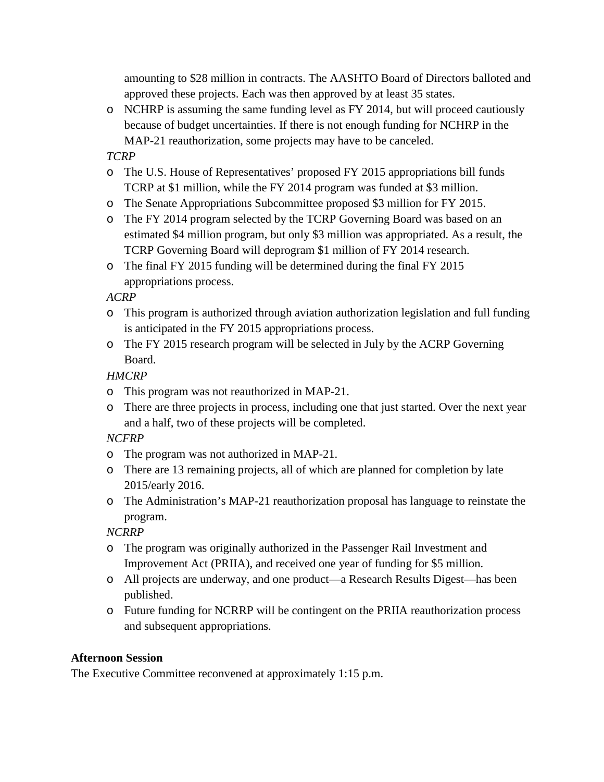amounting to \$28 million in contracts. The AASHTO Board of Directors balloted and approved these projects. Each was then approved by at least 35 states.

o NCHRP is assuming the same funding level as FY 2014, but will proceed cautiously because of budget uncertainties. If there is not enough funding for NCHRP in the MAP-21 reauthorization, some projects may have to be canceled.

## <span id="page-13-0"></span>*TCRP*

- o The U.S. House of Representatives' proposed FY 2015 appropriations bill funds TCRP at \$1 million, while the FY 2014 program was funded at \$3 million.
- o The Senate Appropriations Subcommittee proposed \$3 million for FY 2015.
- o The FY 2014 program selected by the TCRP Governing Board was based on an estimated \$4 million program, but only \$3 million was appropriated. As a result, the TCRP Governing Board will deprogram \$1 million of FY 2014 research.
- o The final FY 2015 funding will be determined during the final FY 2015 appropriations process.

## <span id="page-13-1"></span>*ACRP*

- o This program is authorized through aviation authorization legislation and full funding is anticipated in the FY 2015 appropriations process.
- o The FY 2015 research program will be selected in July by the ACRP Governing Board.

## <span id="page-13-2"></span>*HMCRP*

- o This program was not reauthorized in MAP-21.
- o There are three projects in process, including one that just started. Over the next year and a half, two of these projects will be completed.

## <span id="page-13-3"></span>*NCFRP*

- o The program was not authorized in MAP-21.
- o There are 13 remaining projects, all of which are planned for completion by late 2015/early 2016.
- o The Administration's MAP-21 reauthorization proposal has language to reinstate the program.

## <span id="page-13-4"></span>*NCRRP*

- o The program was originally authorized in the Passenger Rail Investment and Improvement Act (PRIIA), and received one year of funding for \$5 million.
- o All projects are underway, and one product—a Research Results Digest—has been published.
- o Future funding for NCRRP will be contingent on the PRIIA reauthorization process and subsequent appropriations.

#### <span id="page-13-5"></span>**Afternoon Session**

The Executive Committee reconvened at approximately 1:15 p.m.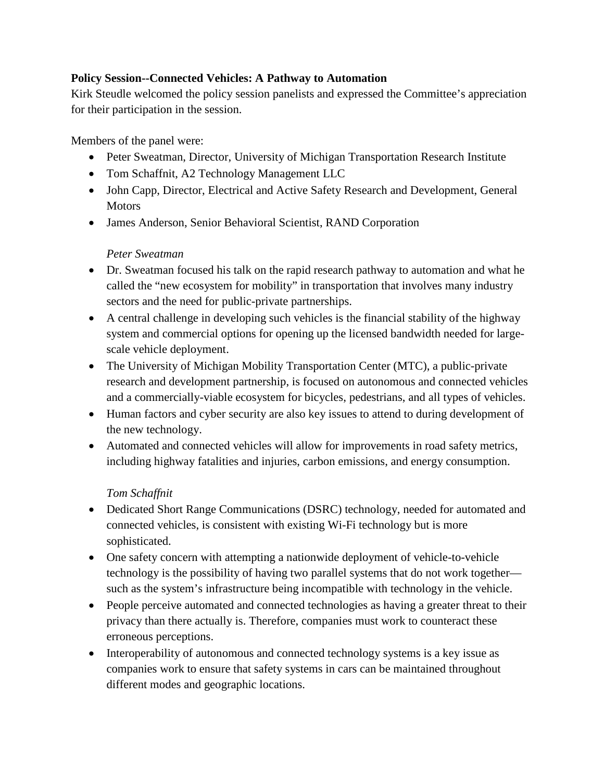#### <span id="page-14-0"></span>**Policy Session--Connected Vehicles: A Pathway to Automation**

Kirk Steudle welcomed the policy session panelists and expressed the Committee's appreciation for their participation in the session.

Members of the panel were:

- Peter Sweatman, Director, University of Michigan Transportation Research Institute
- [Tom Schaffnit,](http://onlinepubs.trb.org/onlinepubs/excomm/14-06-Schaffnit.pdf) A2 Technology Management LLC
- [John Capp,](http://onlinepubs.trb.org/onlinepubs/excomm/14-06-Capp.pdf) Director, Electrical and Active Safety Research and Development, General **Motors**
- James Anderson, Senior Behavioral Scientist, RAND Corporation

#### *[Peter Sweatman](http://onlinepubs.trb.org/onlinepubs/excomm/14-06-Sweatman.pdf)*

- <span id="page-14-1"></span>• Dr. Sweatman focused his talk on the rapid research pathway to automation and what he called the "new ecosystem for mobility" in transportation that involves many industry sectors and the need for public-private partnerships.
- A central challenge in developing such vehicles is the financial stability of the highway system and commercial options for opening up the licensed bandwidth needed for largescale vehicle deployment.
- The University of Michigan Mobility Transportation Center (MTC), a public-private research and development partnership, is focused on autonomous and connected vehicles and a commercially-viable ecosystem for bicycles, pedestrians, and all types of vehicles.
- Human factors and cyber security are also key issues to attend to during development of the new technology.
- Automated and connected vehicles will allow for improvements in road safety metrics, including highway fatalities and injuries, carbon emissions, and energy consumption.

## *[Tom Schaffnit](http://onlinepubs.trb.org/onlinepubs/excomm/14-06-Schaffnit.pdf)*

- <span id="page-14-2"></span>• Dedicated Short Range Communications (DSRC) technology, needed for automated and connected vehicles, is consistent with existing Wi-Fi technology but is more sophisticated.
- One safety concern with attempting a nationwide deployment of vehicle-to-vehicle technology is the possibility of having two parallel systems that do not work together such as the system's infrastructure being incompatible with technology in the vehicle.
- People perceive automated and connected technologies as having a greater threat to their privacy than there actually is. Therefore, companies must work to counteract these erroneous perceptions.
- Interoperability of autonomous and connected technology systems is a key issue as companies work to ensure that safety systems in cars can be maintained throughout different modes and geographic locations.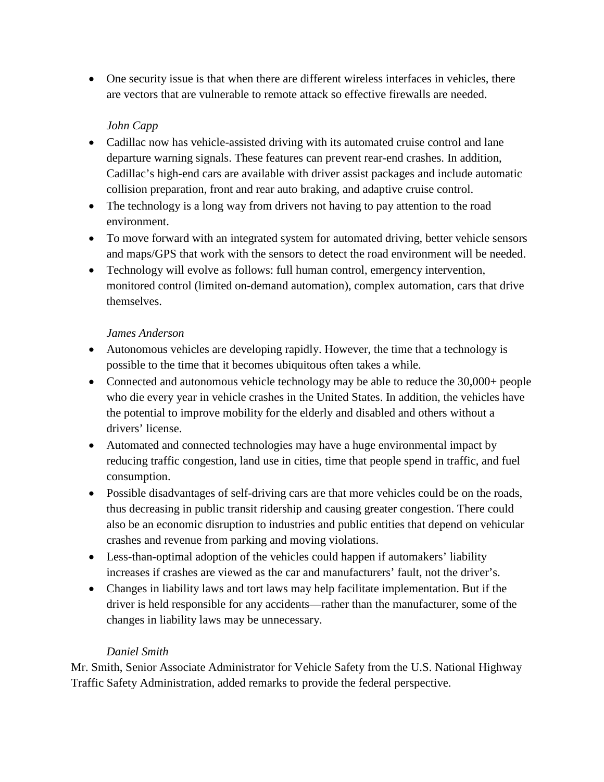• One security issue is that when there are different wireless interfaces in vehicles, there are vectors that are vulnerable to remote attack so effective firewalls are needed.

## *[John Capp](http://onlinepubs.trb.org/onlinepubs/excomm/14-06-Capp.pdf)*

- <span id="page-15-0"></span>• Cadillac now has vehicle-assisted driving with its automated cruise control and lane departure warning signals. These features can prevent rear-end crashes. In addition, Cadillac's high-end cars are available with driver assist packages and include automatic collision preparation, front and rear auto braking, and adaptive cruise control.
- The technology is a long way from drivers not having to pay attention to the road environment.
- To move forward with an integrated system for automated driving, better vehicle sensors and maps/GPS that work with the sensors to detect the road environment will be needed.
- Technology will evolve as follows: full human control, emergency intervention, monitored control (limited on-demand automation), complex automation, cars that drive themselves.

#### *[James Anderson](http://onlinepubs.trb.org/onlinepubs/excomm/14-06-Anderson.pdf)*

- <span id="page-15-1"></span>• Autonomous vehicles are developing rapidly. However, the time that a technology is possible to the time that it becomes ubiquitous often takes a while.
- Connected and autonomous vehicle technology may be able to reduce the 30,000+ people who die every year in vehicle crashes in the United States. In addition, the vehicles have the potential to improve mobility for the elderly and disabled and others without a drivers' license.
- Automated and connected technologies may have a huge environmental impact by reducing traffic congestion, land use in cities, time that people spend in traffic, and fuel consumption.
- Possible disadvantages of self-driving cars are that more vehicles could be on the roads, thus decreasing in public transit ridership and causing greater congestion. There could also be an economic disruption to industries and public entities that depend on vehicular crashes and revenue from parking and moving violations.
- Less-than-optimal adoption of the vehicles could happen if automakers' liability increases if crashes are viewed as the car and manufacturers' fault, not the driver's.
- Changes in liability laws and tort laws may help facilitate implementation. But if the driver is held responsible for any accidents—rather than the manufacturer, some of the changes in liability laws may be unnecessary.

## *Daniel Smith*

<span id="page-15-2"></span>Mr. Smith, Senior Associate Administrator for Vehicle Safety from the U.S. National Highway Traffic Safety Administration, added remarks to provide the federal perspective.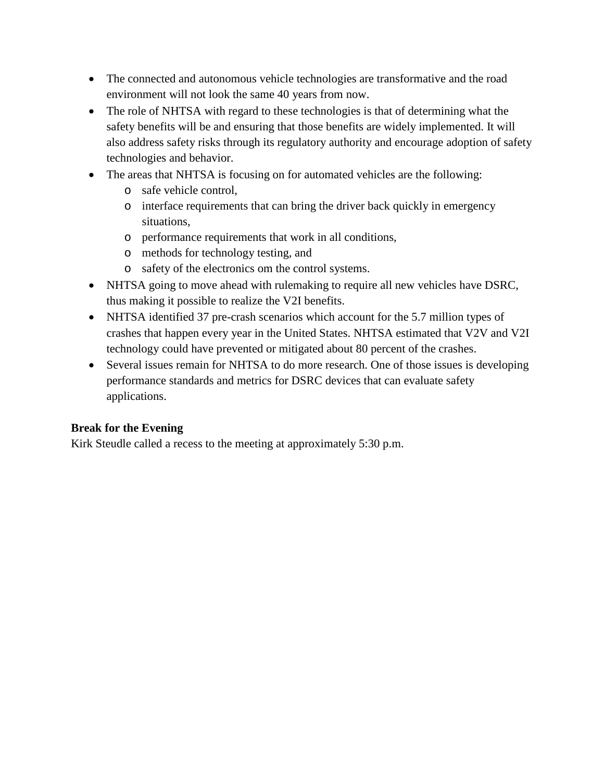- The connected and autonomous vehicle technologies are transformative and the road environment will not look the same 40 years from now.
- The role of NHTSA with regard to these technologies is that of determining what the safety benefits will be and ensuring that those benefits are widely implemented. It will also address safety risks through its regulatory authority and encourage adoption of safety technologies and behavior.
- The areas that NHTSA is focusing on for automated vehicles are the following:
	- o safe vehicle control,
	- o interface requirements that can bring the driver back quickly in emergency situations,
	- o performance requirements that work in all conditions,
	- o methods for technology testing, and
	- o safety of the electronics om the control systems.
- NHTSA going to move ahead with rulemaking to require all new vehicles have DSRC, thus making it possible to realize the V2I benefits.
- NHTSA identified 37 pre-crash scenarios which account for the 5.7 million types of crashes that happen every year in the United States. NHTSA estimated that V2V and V2I technology could have prevented or mitigated about 80 percent of the crashes.
- Several issues remain for NHTSA to do more research. One of those issues is developing performance standards and metrics for DSRC devices that can evaluate safety applications.

## <span id="page-16-0"></span>**Break for the Evening**

Kirk Steudle called a recess to the meeting at approximately 5:30 p.m.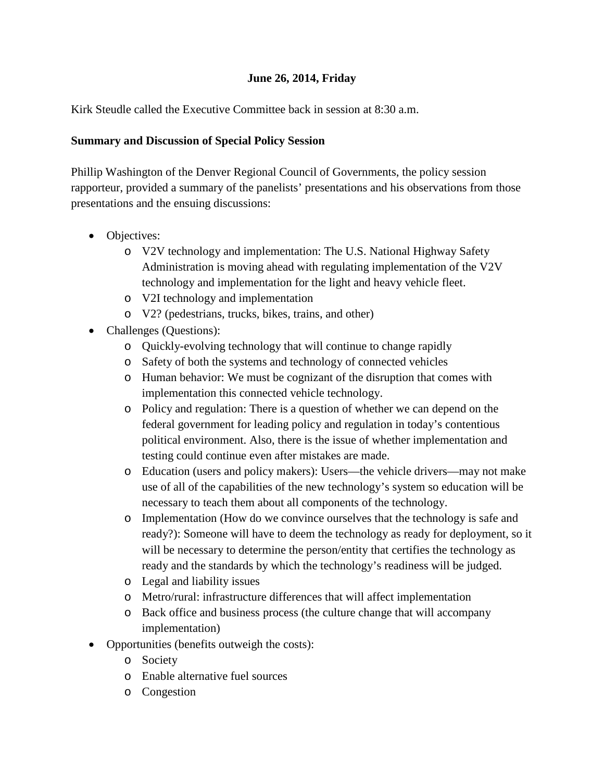#### **June 26, 2014, Friday**

<span id="page-17-0"></span>Kirk Steudle called the Executive Committee back in session at 8:30 a.m.

#### <span id="page-17-1"></span>**Summary and Discussion of Special Policy Session**

Phillip Washington of the Denver Regional Council of Governments, the policy session rapporteur, provided a summary of the panelists' presentations and his observations from those presentations and the ensuing discussions:

- Objectives:
	- o V2V technology and implementation: The U.S. National Highway Safety Administration is moving ahead with regulating implementation of the V2V technology and implementation for the light and heavy vehicle fleet.
	- o V2I technology and implementation
	- o V2? (pedestrians, trucks, bikes, trains, and other)
- Challenges (Questions):
	- o Quickly-evolving technology that will continue to change rapidly
	- o Safety of both the systems and technology of connected vehicles
	- o Human behavior: We must be cognizant of the disruption that comes with implementation this connected vehicle technology.
	- o Policy and regulation: There is a question of whether we can depend on the federal government for leading policy and regulation in today's contentious political environment. Also, there is the issue of whether implementation and testing could continue even after mistakes are made.
	- o Education (users and policy makers): Users—the vehicle drivers—may not make use of all of the capabilities of the new technology's system so education will be necessary to teach them about all components of the technology.
	- o Implementation (How do we convince ourselves that the technology is safe and ready?): Someone will have to deem the technology as ready for deployment, so it will be necessary to determine the person/entity that certifies the technology as ready and the standards by which the technology's readiness will be judged.
	- o Legal and liability issues
	- o Metro/rural: infrastructure differences that will affect implementation
	- o Back office and business process (the culture change that will accompany implementation)
- Opportunities (benefits outweigh the costs):
	- o Society
	- o Enable alternative fuel sources
	- o Congestion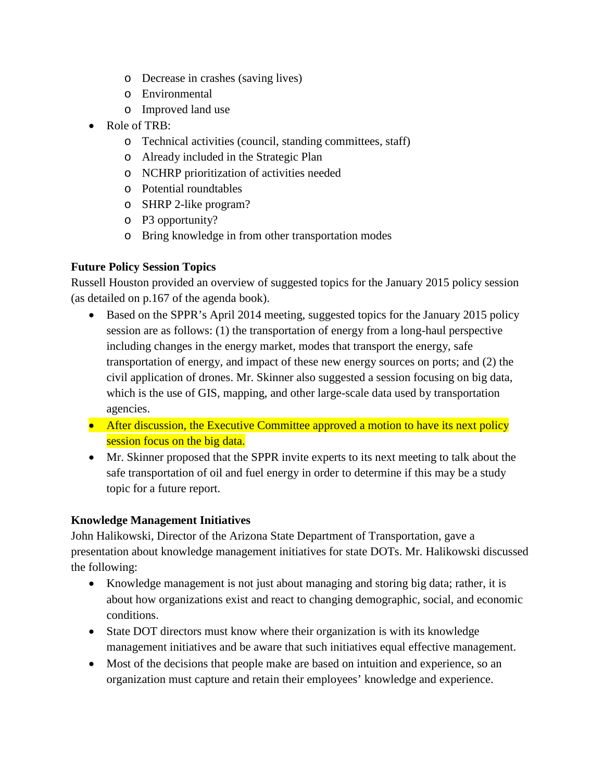- o Decrease in crashes (saving lives)
- o Environmental
- o Improved land use
- Role of TRB:
	- o Technical activities (council, standing committees, staff)
	- o Already included in the Strategic Plan
	- o NCHRP prioritization of activities needed
	- o Potential roundtables
	- o SHRP 2-like program?
	- o P3 opportunity?
	- o Bring knowledge in from other transportation modes

#### <span id="page-18-0"></span>**Future Policy Session Topics**

Russell Houston provided an overview of suggested topics for the January 2015 policy session (as detailed on p.167 of the agenda book).

- Based on the SPPR's April 2014 meeting, suggested topics for the January 2015 policy session are as follows: (1) the transportation of energy from a long-haul perspective including changes in the energy market, modes that transport the energy, safe transportation of energy, and impact of these new energy sources on ports; and (2) the civil application of drones. Mr. Skinner also suggested a session focusing on big data, which is the use of GIS, mapping, and other large-scale data used by transportation agencies.
- After discussion, the Executive Committee approved a motion to have its next policy session focus on the big data.
- Mr. Skinner proposed that the SPPR invite experts to its next meeting to talk about the safe transportation of oil and fuel energy in order to determine if this may be a study topic for a future report.

#### <span id="page-18-1"></span>**Knowledge Management Initiatives**

John Halikowski, Director of the Arizona State Department of Transportation, gave a presentation about knowledge management initiatives for state DOTs. Mr. Halikowski discussed the following:

- Knowledge management is not just about managing and storing big data; rather, it is about how organizations exist and react to changing demographic, social, and economic conditions.
- State DOT directors must know where their organization is with its knowledge management initiatives and be aware that such initiatives equal effective management.
- Most of the decisions that people make are based on intuition and experience, so an organization must capture and retain their employees' knowledge and experience.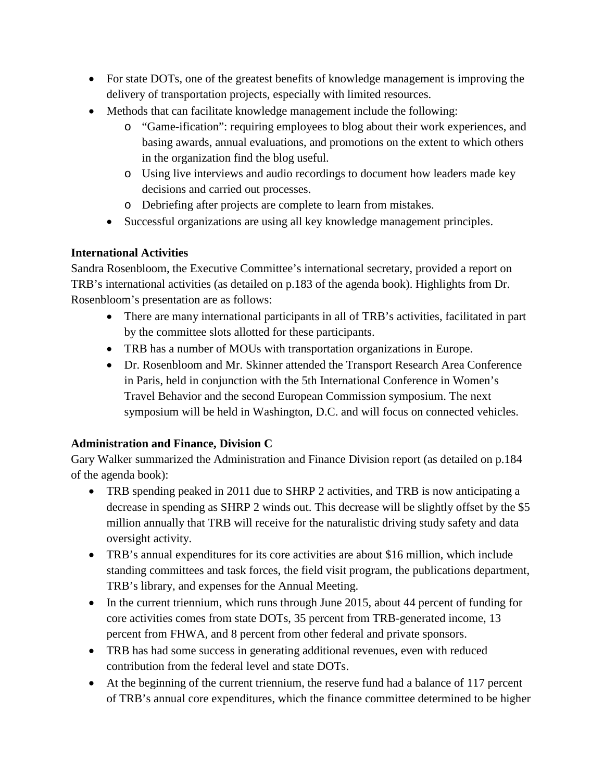- For state DOTs, one of the greatest benefits of knowledge management is improving the delivery of transportation projects, especially with limited resources.
- Methods that can facilitate knowledge management include the following:
	- o "Game-ification": requiring employees to blog about their work experiences, and basing awards, annual evaluations, and promotions on the extent to which others in the organization find the blog useful.
	- o Using live interviews and audio recordings to document how leaders made key decisions and carried out processes.
	- o Debriefing after projects are complete to learn from mistakes.
	- Successful organizations are using all key knowledge management principles.

#### <span id="page-19-0"></span>**International Activities**

Sandra Rosenbloom, the Executive Committee's international secretary, provided a report on TRB's international activities (as detailed on p.183 of the agenda book). Highlights from Dr. Rosenbloom's presentation are as follows:

- There are many international participants in all of TRB's activities, facilitated in part by the committee slots allotted for these participants.
- TRB has a number of MOUs with transportation organizations in Europe.
- Dr. Rosenbloom and Mr. Skinner attended the Transport Research Area Conference in Paris, held in conjunction with the 5th International Conference in Women's Travel Behavior and the second European Commission symposium. The next symposium will be held in Washington, D.C. and will focus on connected vehicles.

## <span id="page-19-1"></span>**Administration and Finance, Division C**

Gary Walker summarized the Administration and Finance Division report (as detailed on p.184 of the agenda book):

- TRB spending peaked in 2011 due to SHRP 2 activities, and TRB is now anticipating a decrease in spending as SHRP 2 winds out. This decrease will be slightly offset by the \$5 million annually that TRB will receive for the naturalistic driving study safety and data oversight activity.
- TRB's annual expenditures for its core activities are about \$16 million, which include standing committees and task forces, the field visit program, the publications department, TRB's library, and expenses for the Annual Meeting.
- In the current triennium, which runs through June 2015, about 44 percent of funding for core activities comes from state DOTs, 35 percent from TRB-generated income, 13 percent from FHWA, and 8 percent from other federal and private sponsors.
- TRB has had some success in generating additional revenues, even with reduced contribution from the federal level and state DOTs.
- At the beginning of the current triennium, the reserve fund had a balance of 117 percent of TRB's annual core expenditures, which the finance committee determined to be higher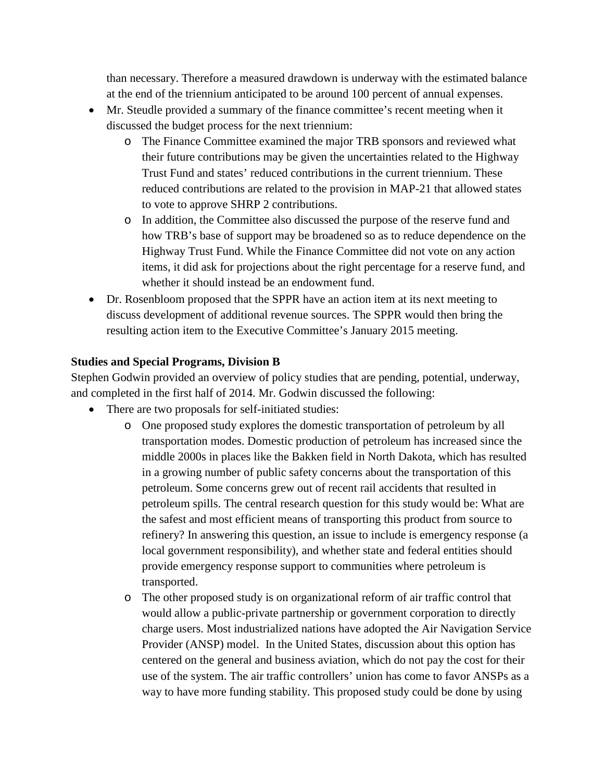than necessary. Therefore a measured drawdown is underway with the estimated balance at the end of the triennium anticipated to be around 100 percent of annual expenses.

- Mr. Steudle provided a summary of the finance committee's recent meeting when it discussed the budget process for the next triennium:
	- o The Finance Committee examined the major TRB sponsors and reviewed what their future contributions may be given the uncertainties related to the Highway Trust Fund and states' reduced contributions in the current triennium. These reduced contributions are related to the provision in MAP-21 that allowed states to vote to approve SHRP 2 contributions.
	- o In addition, the Committee also discussed the purpose of the reserve fund and how TRB's base of support may be broadened so as to reduce dependence on the Highway Trust Fund. While the Finance Committee did not vote on any action items, it did ask for projections about the right percentage for a reserve fund, and whether it should instead be an endowment fund.
- Dr. Rosenbloom proposed that the SPPR have an action item at its next meeting to discuss development of additional revenue sources. The SPPR would then bring the resulting action item to the Executive Committee's January 2015 meeting.

#### <span id="page-20-0"></span>**Studies and Special Programs, Division B**

Stephen Godwin provided an overview of policy studies that are pending, potential, underway, and completed in the first half of 2014. Mr. Godwin discussed the following:

- There are two proposals for self-initiated studies:
	- o One proposed study explores the domestic transportation of petroleum by all transportation modes. Domestic production of petroleum has increased since the middle 2000s in places like the Bakken field in North Dakota, which has resulted in a growing number of public safety concerns about the transportation of this petroleum. Some concerns grew out of recent rail accidents that resulted in petroleum spills. The central research question for this study would be: What are the safest and most efficient means of transporting this product from source to refinery? In answering this question, an issue to include is emergency response (a local government responsibility), and whether state and federal entities should provide emergency response support to communities where petroleum is transported.
	- o The other proposed study is on organizational reform of air traffic control that would allow a public-private partnership or government corporation to directly charge users. Most industrialized nations have adopted the Air Navigation Service Provider (ANSP) model. In the United States, discussion about this option has centered on the general and business aviation, which do not pay the cost for their use of the system. The air traffic controllers' union has come to favor ANSPs as a way to have more funding stability. This proposed study could be done by using